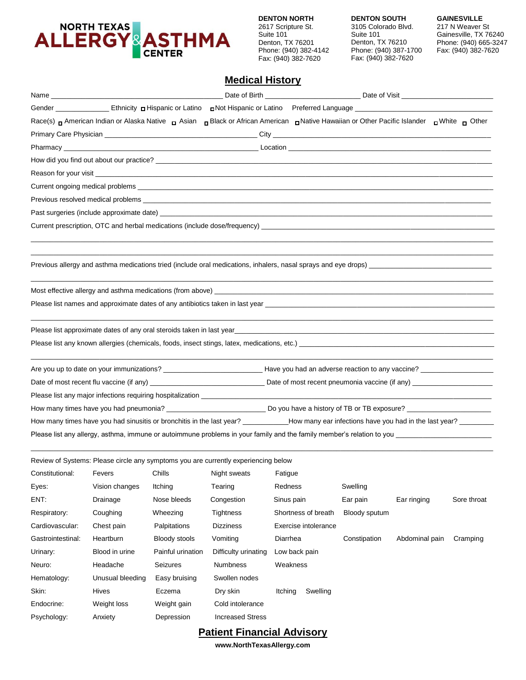

**DENTON SOUTH** 3105 Colorado Blvd. Suite 101 Denton, TX 76210 Phone: (940) 387-1700 Fax: (940) 382-7620

**GAINESVILLE** 217 N Weaver St Gainesville, TX 76240 Phone: (940) 665-3247 Fax: (940) 382-7620

## **Medical History**

|                   |                  |                   |                                                                                    |                      | Race(s) <sub>D</sub> American Indian or Alaska Native <sub>D</sub> Asian <sub>D</sub> Black or African American <sub>D</sub> Native Hawaiian or Other Pacific Islander <sub>D</sub> White <sub>D</sub> Other                   |                |             |
|-------------------|------------------|-------------------|------------------------------------------------------------------------------------|----------------------|--------------------------------------------------------------------------------------------------------------------------------------------------------------------------------------------------------------------------------|----------------|-------------|
|                   |                  |                   |                                                                                    |                      |                                                                                                                                                                                                                                |                |             |
|                   |                  |                   |                                                                                    |                      |                                                                                                                                                                                                                                |                |             |
|                   |                  |                   |                                                                                    |                      |                                                                                                                                                                                                                                |                |             |
|                   |                  |                   |                                                                                    |                      |                                                                                                                                                                                                                                |                |             |
|                   |                  |                   |                                                                                    |                      |                                                                                                                                                                                                                                |                |             |
|                   |                  |                   |                                                                                    |                      |                                                                                                                                                                                                                                |                |             |
|                   |                  |                   |                                                                                    |                      |                                                                                                                                                                                                                                |                |             |
|                   |                  |                   |                                                                                    |                      |                                                                                                                                                                                                                                |                |             |
|                   |                  |                   |                                                                                    |                      |                                                                                                                                                                                                                                |                |             |
|                   |                  |                   |                                                                                    |                      |                                                                                                                                                                                                                                |                |             |
|                   |                  |                   |                                                                                    |                      |                                                                                                                                                                                                                                |                |             |
|                   |                  |                   |                                                                                    |                      |                                                                                                                                                                                                                                |                |             |
|                   |                  |                   |                                                                                    |                      |                                                                                                                                                                                                                                |                |             |
|                   |                  |                   |                                                                                    |                      | Please list names and approximate dates of any antibiotics taken in last year entertainment of the control of the control of the control of the control of the control of the control of the control of the control of the con |                |             |
|                   |                  |                   |                                                                                    |                      | Please list approximate dates of any oral steroids taken in last year<br>and the manuscription of the manuscription of the manuscription of the manuscription of the manuscription of t                                        |                |             |
|                   |                  |                   |                                                                                    |                      |                                                                                                                                                                                                                                |                |             |
|                   |                  |                   |                                                                                    |                      |                                                                                                                                                                                                                                |                |             |
|                   |                  |                   |                                                                                    |                      |                                                                                                                                                                                                                                |                |             |
|                   |                  |                   |                                                                                    |                      |                                                                                                                                                                                                                                |                |             |
|                   |                  |                   |                                                                                    |                      |                                                                                                                                                                                                                                |                |             |
|                   |                  |                   |                                                                                    |                      |                                                                                                                                                                                                                                |                |             |
|                   |                  |                   |                                                                                    |                      |                                                                                                                                                                                                                                |                |             |
|                   |                  |                   |                                                                                    |                      |                                                                                                                                                                                                                                |                |             |
|                   |                  |                   |                                                                                    |                      |                                                                                                                                                                                                                                |                |             |
|                   |                  |                   | Review of Systems: Please circle any symptoms you are currently experiencing below |                      |                                                                                                                                                                                                                                |                |             |
|                   |                  |                   | Constitutional: Fevers Chills Night sweats Fatigue                                 |                      |                                                                                                                                                                                                                                |                |             |
| Eyes:             | Vision changes   | Itching           | Tearing                                                                            | Redness              | Swelling                                                                                                                                                                                                                       |                |             |
| ENT:              | Drainage         | Nose bleeds       | Congestion                                                                         | Sinus pain           | Ear pain                                                                                                                                                                                                                       | Ear ringing    | Sore throat |
| Respiratory:      | Coughing         | Wheezing          | <b>Tightness</b>                                                                   | Shortness of breath  | Bloody sputum                                                                                                                                                                                                                  |                |             |
| Cardiovascular:   | Chest pain       | Palpitations      | <b>Dizziness</b>                                                                   | Exercise intolerance |                                                                                                                                                                                                                                |                |             |
| Gastrointestinal: | Heartburn        | Bloody stools     | Vomiting                                                                           | Diarrhea             | Constipation                                                                                                                                                                                                                   | Abdominal pain | Cramping    |
| Urinary:          | Blood in urine   | Painful urination | Difficulty urinating                                                               | Low back pain        |                                                                                                                                                                                                                                |                |             |
| Neuro:            | Headache         | Seizures          | <b>Numbness</b>                                                                    | Weakness             |                                                                                                                                                                                                                                |                |             |
| Hematology:       | Unusual bleeding | Easy bruising     | Swollen nodes                                                                      |                      |                                                                                                                                                                                                                                |                |             |
| Skin:             | Hives            | Eczema            | Dry skin                                                                           | Swelling<br>Itching  |                                                                                                                                                                                                                                |                |             |
| Endocrine:        | Weight loss      | Weight gain       | Cold intolerance                                                                   |                      |                                                                                                                                                                                                                                |                |             |
| Psychology:       | Anxiety          | Depression        | <b>Increased Stress</b>                                                            |                      |                                                                                                                                                                                                                                |                |             |

### **Patient Financial Advisory**

**www.NorthTexasAllergy.com**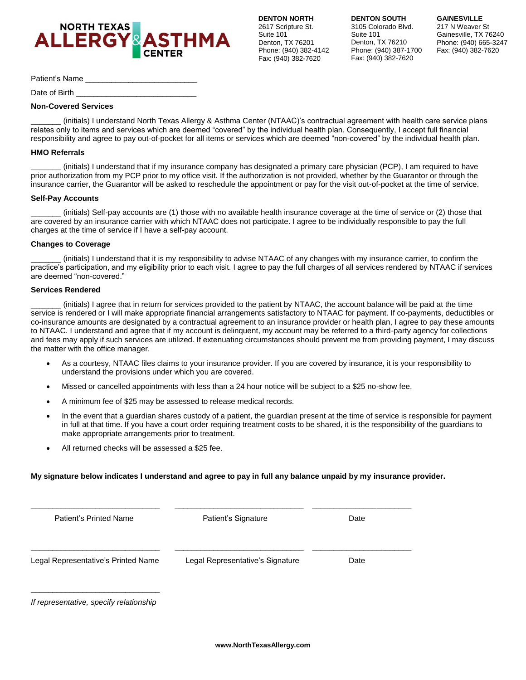

**DENTON SOUTH** 3105 Colorado Blvd. Suite 101 Denton, TX 76210 Phone: (940) 387-1700 Fax: (940) 382-7620

**GAINESVILLE** 217 N Weaver St Gainesville, TX 76240 Phone: (940) 665-3247 Fax: (940) 382-7620

Patient's Name

Date of Birth

### **Non-Covered Services**

\_\_\_\_\_\_\_ (initials) I understand North Texas Allergy & Asthma Center (NTAAC)'s contractual agreement with health care service plans relates only to items and services which are deemed "covered" by the individual health plan. Consequently, I accept full financial responsibility and agree to pay out-of-pocket for all items or services which are deemed "non-covered" by the individual health plan.

### **HMO Referrals**

**\_\_\_\_\_\_\_** (initials) I understand that if my insurance company has designated a primary care physician (PCP), I am required to have prior authorization from my PCP prior to my office visit. If the authorization is not provided, whether by the Guarantor or through the insurance carrier, the Guarantor will be asked to reschedule the appointment or pay for the visit out-of-pocket at the time of service.

### **Self-Pay Accounts**

\_\_\_\_\_\_\_ (initials) Self-pay accounts are (1) those with no available health insurance coverage at the time of service or (2) those that are covered by an insurance carrier with which NTAAC does not participate. I agree to be individually responsible to pay the full charges at the time of service if I have a self-pay account.

### **Changes to Coverage**

\_\_\_\_\_\_\_ (initials) I understand that it is my responsibility to advise NTAAC of any changes with my insurance carrier, to confirm the practice's participation, and my eligibility prior to each visit. I agree to pay the full charges of all services rendered by NTAAC if services are deemed "non-covered."

### **Services Rendered**

\_\_\_\_\_\_\_ (initials) I agree that in return for services provided to the patient by NTAAC, the account balance will be paid at the time service is rendered or I will make appropriate financial arrangements satisfactory to NTAAC for payment. If co-payments, deductibles or co-insurance amounts are designated by a contractual agreement to an insurance provider or health plan, I agree to pay these amounts to NTAAC. I understand and agree that if my account is delinquent, my account may be referred to a third-party agency for collections and fees may apply if such services are utilized. If extenuating circumstances should prevent me from providing payment, I may discuss the matter with the office manager.

- As a courtesy, NTAAC files claims to your insurance provider. If you are covered by insurance, it is your responsibility to understand the provisions under which you are covered.
- Missed or cancelled appointments with less than a 24 hour notice will be subject to a \$25 no-show fee.
- A minimum fee of \$25 may be assessed to release medical records.
- In the event that a guardian shares custody of a patient, the guardian present at the time of service is responsible for payment in full at that time. If you have a court order requiring treatment costs to be shared, it is the responsibility of the guardians to make appropriate arrangements prior to treatment.
- All returned checks will be assessed a \$25 fee.

### **My signature below indicates I understand and agree to pay in full any balance unpaid by my insurance provider.**

| Patient's Signature              | Date |
|----------------------------------|------|
| Legal Representative's Signature | Date |
|                                  |      |

*If representative, specify relationship*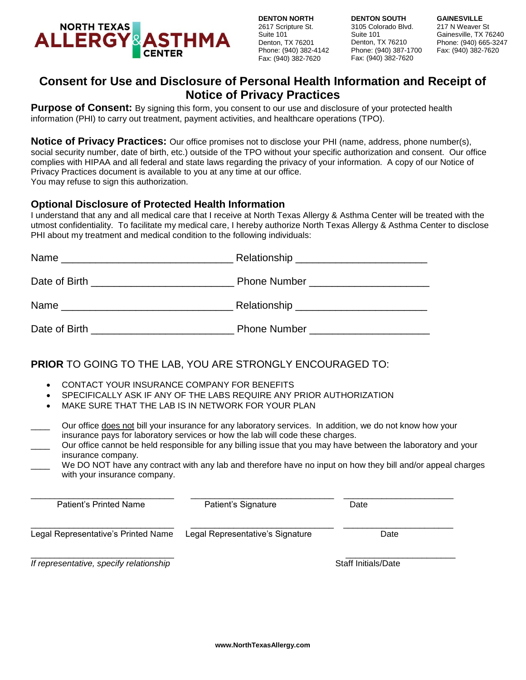

**DENTON SOUTH** 3105 Colorado Blvd. Suite 101 Denton, TX 76210 Phone: (940) 387-1700 Fax: (940) 382-7620

**GAINESVILLE** 217 N Weaver St Gainesville, TX 76240 Phone: (940) 665-3247 Fax: (940) 382-7620

## **Consent for Use and Disclosure of Personal Health Information and Receipt of Notice of Privacy Practices**

**Purpose of Consent:** By signing this form, you consent to our use and disclosure of your protected health information (PHI) to carry out treatment, payment activities, and healthcare operations (TPO).

**Notice of Privacy Practices:** Our office promises not to disclose your PHI (name, address, phone number(s), social security number, date of birth, etc.) outside of the TPO without your specific authorization and consent. Our office complies with HIPAA and all federal and state laws regarding the privacy of your information. A copy of our Notice of Privacy Practices document is available to you at any time at our office. You may refuse to sign this authorization.

### **Optional Disclosure of Protected Health Information**

I understand that any and all medical care that I receive at North Texas Allergy & Asthma Center will be treated with the utmost confidentiality. To facilitate my medical care, I hereby authorize North Texas Allergy & Asthma Center to disclose PHI about my treatment and medical condition to the following individuals:

| Name<br><u>experience</u> and the control of the control of the control of the control of the control of the control of the con |                                  |
|---------------------------------------------------------------------------------------------------------------------------------|----------------------------------|
|                                                                                                                                 |                                  |
| Name                                                                                                                            |                                  |
|                                                                                                                                 | <b>Phone Number Example 2014</b> |

## **PRIOR** TO GOING TO THE LAB, YOU ARE STRONGLY ENCOURAGED TO:

- CONTACT YOUR INSURANCE COMPANY FOR BENEFITS
- SPECIFICALLY ASK IF ANY OF THE LABS REQUIRE ANY PRIOR AUTHORIZATION
- MAKE SURE THAT THE LAB IS IN NETWORK FOR YOUR PLAN
- \_\_\_\_ Our office does not bill your insurance for any laboratory services. In addition, we do not know how your insurance pays for laboratory services or how the lab will code these charges.
- \_\_\_\_ Our office cannot be held responsible for any billing issue that you may have between the laboratory and your insurance company.
- We DO NOT have any contract with any lab and therefore have no input on how they bill and/or appeal charges with your insurance company.

| Patient's Printed Name                  | Patient's Signature              | Date                       |  |
|-----------------------------------------|----------------------------------|----------------------------|--|
| Legal Representative's Printed Name     | Legal Representative's Signature | Date                       |  |
| If representative, specify relationship |                                  | <b>Staff Initials/Date</b> |  |